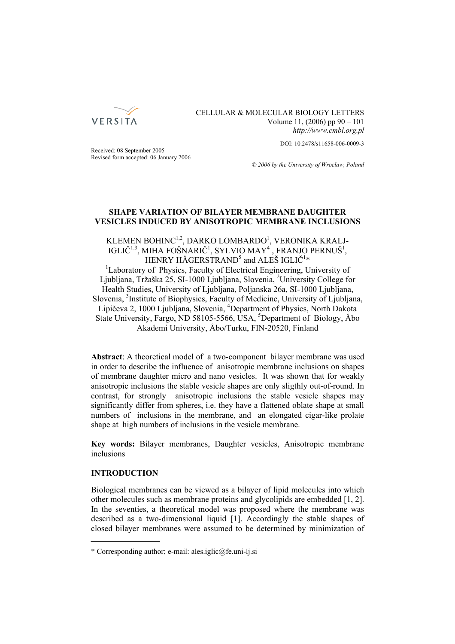

CELLULAR & MOLECULAR BIOLOGY LETTERS Volume 11, (2006) pp 90 – 101 *http://www.cmbl.org.pl*

DOI: 10.2478/s11658-006-0009-3

Received: 08 September 2005 Revised form accepted: 06 January 2006

*© 2006 by the University of Wrocław, Poland*

## **SHAPE VARIATION OF BILAYER MEMBRANE DAUGHTER VESICLES INDUCED BY ANISOTROPIC MEMBRANE INCLUSIONS**

# KLEMEN BOHINC $^{1,2}$ , DARKO LOMBARDO $^{1}$ , VERONIKA KRALJ-IGLIČ $^{1,3}$ , MIHA FOŠNARIČ $^{1}$ , SYLVIO MAY $^{4}$ , FRANJO PERNUŠ $^{1}$ , HENRY HÄGERSTRAND<sup>5</sup> and ALEŠ IGLIČ<sup>1\*</sup>

<sup>1</sup>Laboratory of Physics, Faculty of Electrical Engineering, University of Ljubljana, Tržaška 25, SI-1000 Ljubljana, Slovenia, <sup>2</sup>University College for Health Studies, University of Ljubljana, Poljanska 26a, SI-1000 Ljubljana, Slovenia, <sup>3</sup>Institute of Biophysics, Faculty of Medicine, University of Ljubljana, Lipičeva 2, 1000 Ljubljana, Slovenia, <sup>4</sup>Department of Physics, North Dakota State University, Fargo, ND 58105-5566, USA, <sup>5</sup>Department of Biology, Åbo Akademi University, Åbo/Turku, FIN-20520, Finland

**Abstract**: A theoretical model of a two-component bilayer membrane was used in order to describe the influence of anisotropic membrane inclusions on shapes of membrane daughter micro and nano vesicles. It was shown that for weakly anisotropic inclusions the stable vesicle shapes are only sligthly out-of-round. In contrast, for strongly anisotropic inclusions the stable vesicle shapes may significantly differ from spheres, i.e. they have a flattened oblate shape at small numbers of inclusions in the membrane, and an elongated cigar-like prolate shape at high numbers of inclusions in the vesicle membrane.

**Key words:** Bilayer membranes, Daughter vesicles, Anisotropic membrane inclusions

## **INTRODUCTION**

Biological membranes can be viewed as a bilayer of lipid molecules into which other molecules such as membrane proteins and glycolipids are embedded [1, 2]. In the seventies, a theoretical model was proposed where the membrane was described as a two-dimensional liquid [1]. Accordingly the stable shapes of closed bilayer membranes were assumed to be determined by minimization of

<sup>\*</sup> Corresponding author; e-mail: ales.iglic@fe.uni-lj.si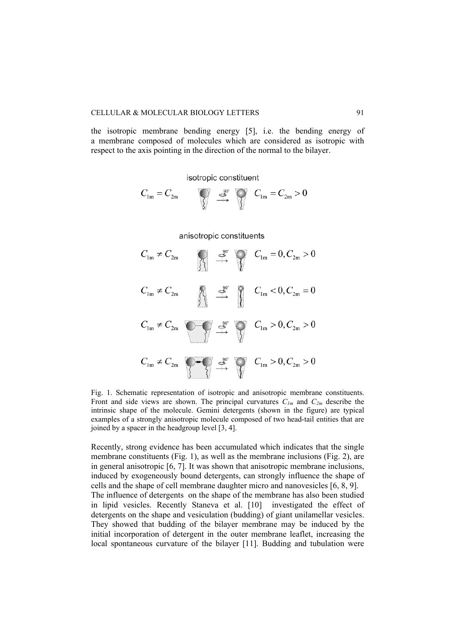the isotropic membrane bending energy [5], i.e. the bending energy of a membrane composed of molecules which are considered as isotropic with respect to the axis pointing in the direction of the normal to the bilayer.

isotropic constituent

$$
C_{1\mathrm{m}} = C_{2\mathrm{m}} \qquad \qquad \bigvee \qquad \stackrel{\mathcal{S}^{\mathrm{gr}}}{\longrightarrow} \qquad \bigvee \qquad \qquad C_{1\mathrm{m}} = C_{2\mathrm{m}} > 0
$$

anisotropic constituents



Fig. 1. Schematic representation of isotropic and anisotropic membrane constituents. Front and side views are shown. The principal curvatures  $C_{lm}$  and  $C_{2m}$  describe the intrinsic shape of the molecule. Gemini detergents (shown in the figure) are typical examples of a strongly anisotropic molecule composed of two head-tail entities that are joined by a spacer in the headgroup level [3, 4].

Recently, strong evidence has been accumulated which indicates that the single membrane constituents (Fig. 1), as well as the membrane inclusions (Fig. 2), are in general anisotropic [6, 7]. It was shown that anisotropic membrane inclusions, induced by exogeneously bound detergents, can strongly influence the shape of cells and the shape of cell membrane daughter micro and nanovesicles [6, 8, 9]. The influence of detergents on the shape of the membrane has also been studied in lipid vesicles. Recently Staneva et al. [10] investigated the effect of detergents on the shape and vesiculation (budding) of giant unilamellar vesicles. They showed that budding of the bilayer membrane may be induced by the initial incorporation of detergent in the outer membrane leaflet, increasing the local spontaneous curvature of the bilayer [11]. Budding and tubulation were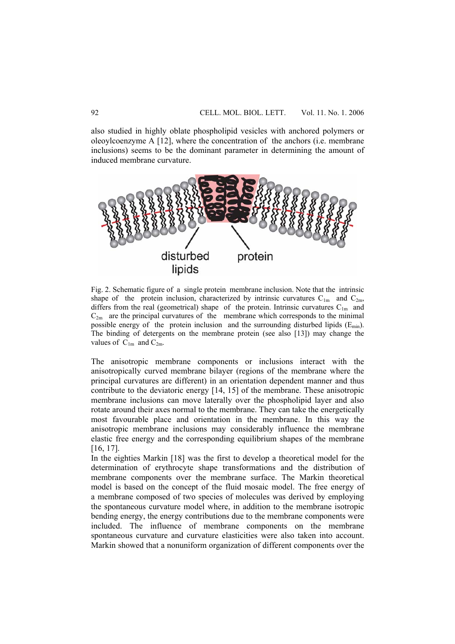also studied in highly oblate phospholipid vesicles with anchored polymers or oleoylcoenzyme A [12], where the concentration of the anchors (i.e. membrane inclusions) seems to be the dominant parameter in determining the amount of induced membrane curvature.



Fig. 2. Schematic figure of a single protein membrane inclusion. Note that the intrinsic shape of the protein inclusion, characterized by intrinsic curvatures  $C_{1m}$  and  $C_{2m}$ , differs from the real (geometrical) shape of the protein. Intrinsic curvatures  $C_{1m}$  and  $C_{2m}$  are the principal curvatures of the membrane which corresponds to the minimal possible energy of the protein inclusion and the surrounding disturbed lipids  $(E_{min})$ . The binding of detergents on the membrane protein (see also [13]) may change the values of  $C_{1m}$  and  $C_{2m}$ .

The anisotropic membrane components or inclusions interact with the anisotropically curved membrane bilayer (regions of the membrane where the principal curvatures are different) in an orientation dependent manner and thus contribute to the deviatoric energy [14, 15] of the membrane. These anisotropic membrane inclusions can move laterally over the phospholipid layer and also rotate around their axes normal to the membrane. They can take the energetically most favourable place and orientation in the membrane. In this way the anisotropic membrane inclusions may considerably influence the membrane elastic free energy and the corresponding equilibrium shapes of the membrane [16, 17].

In the eighties Markin [18] was the first to develop a theoretical model for the determination of erythrocyte shape transformations and the distribution of membrane components over the membrane surface. The Markin theoretical model is based on the concept of the fluid mosaic model. The free energy of a membrane composed of two species of molecules was derived by employing the spontaneous curvature model where, in addition to the membrane isotropic bending energy, the energy contributions due to the membrane components were included. The influence of membrane components on the membrane spontaneous curvature and curvature elasticities were also taken into account. Markin showed that a nonuniform organization of different components over the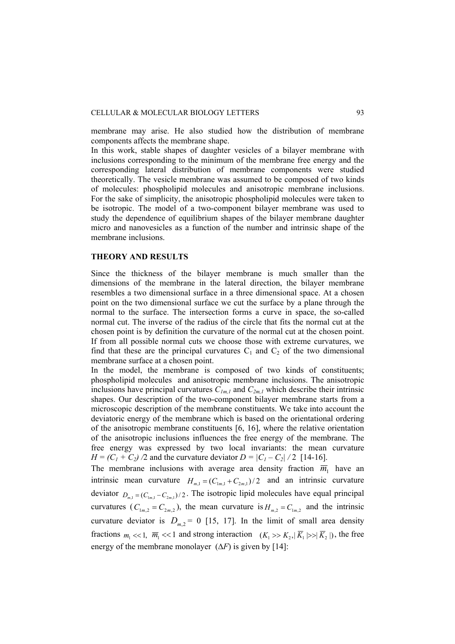membrane may arise. He also studied how the distribution of membrane components affects the membrane shape.

In this work, stable shapes of daughter vesicles of a bilayer membrane with inclusions corresponding to the minimum of the membrane free energy and the corresponding lateral distribution of membrane components were studied theoretically. The vesicle membrane was assumed to be composed of two kinds of molecules: phospholipid molecules and anisotropic membrane inclusions. For the sake of simplicity, the anisotropic phospholipid molecules were taken to be isotropic. The model of a two-component bilayer membrane was used to study the dependence of equilibrium shapes of the bilayer membrane daughter micro and nanovesicles as a function of the number and intrinsic shape of the membrane inclusions.

#### **THEORY AND RESULTS**

Since the thickness of the bilayer membrane is much smaller than the dimensions of the membrane in the lateral direction, the bilayer membrane resembles a two dimensional surface in a three dimensional space. At a chosen point on the two dimensional surface we cut the surface by a plane through the normal to the surface. The intersection forms a curve in space, the so-called normal cut. The inverse of the radius of the circle that fits the normal cut at the chosen point is by definition the curvature of the normal cut at the chosen point. If from all possible normal cuts we choose those with extreme curvatures, we find that these are the principal curvatures  $C_1$  and  $C_2$  of the two dimensional membrane surface at a chosen point.

In the model, the membrane is composed of two kinds of constituents; phospholipid molecules and anisotropic membrane inclusions. The anisotropic inclusions have principal curvatures  $C_{lm,l}$  and  $C_{2m,l}$  which describe their intrinsic shapes. Our description of the two-component bilayer membrane starts from a microscopic description of the membrane constituents. We take into account the deviatoric energy of the membrane which is based on the orientational ordering of the anisotropic membrane constituents [6, 16], where the relative orientation of the anisotropic inclusions influences the free energy of the membrane. The free energy was expressed by two local invariants: the mean curvature  $H = (C_1 + C_2)/2$  and the curvature deviator  $D = |C_1 - C_2|/2$  [14-16].

The membrane inclusions with average area density fraction  $\overline{m}_1$  have an intrinsic mean curvature  $H_{m,1} = (C_{1m,1} + C_{2m,1})/2$  and an intrinsic curvature deviator  $D_{m} = (C_{1m} - C_{2m})/2$ . The isotropic lipid molecules have equal principal curvatures  $(C_{1m,2} = C_{2m,2})$ , the mean curvature is  $H_{m,2} = C_{1m,2}$  and the intrinsic curvature deviator is  $D_{m,2} = 0$  [15, 17]. In the limit of small area density fractions  $m_1 \ll 1$ ,  $\overline{m}_1 \ll 1$  and strong interaction  $(K_1 \gg K_2, |\overline{K}_1| \gg |\overline{K}_2|)$ , the free energy of the membrane monolayer  $(\Delta F)$  is given by [14]: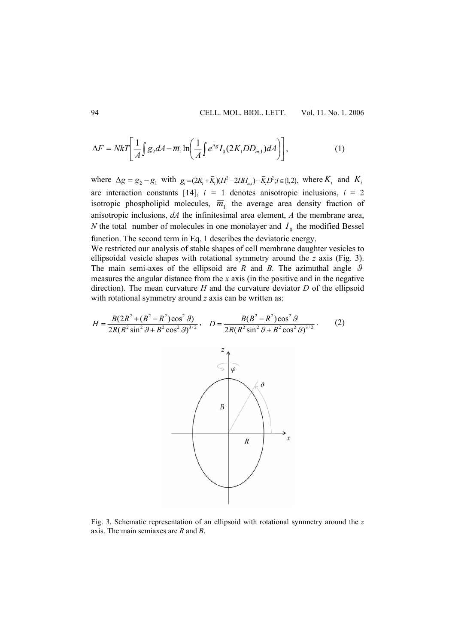$$
\Delta F = NkT \left[ \frac{1}{A} \int g_2 dA - \overline{m}_1 \ln \left( \frac{1}{A} \int e^{\Delta g} I_0 (2 \overline{K}_1 D D_{m,1}) dA \right) \right],
$$
 (1)

where  $\Delta g = g_2 - g_1$  with  $g_i = (2K_i + \bar{K_i})(H^2 - 2H H_{mi}) - \bar{K_i}D^2; i \in \{1, 2\}$ , where  $K_i$  and  $\bar{K_i}$ are interaction constants [14],  $i = 1$  denotes anisotropic inclusions,  $i = 2$ isotropic phospholipid molecules,  $\overline{m}_1$  the average area density fraction of anisotropic inclusions, *dA* the infinitesimal area element, *A* the membrane area, *N* the total number of molecules in one monolayer and  $I_0$  the modified Bessel function. The second term in Eq. 1 describes the deviatoric energy.

We restricted our analysis of stable shapes of cell membrane daughter vesicles to ellipsoidal vesicle shapes with rotational symmetry around the *z* axis (Fig. 3). The main semi-axes of the ellipsoid are *R* and *B*. The azimuthal angle  $\mathcal{G}$ measures the angular distance from the *x* axis (in the positive and in the negative direction). The mean curvature *H* and the curvature deviator *D* of the ellipsoid with rotational symmetry around *z* axis can be written as:

$$
H = \frac{B(2R^2 + (B^2 - R^2)\cos^2 \theta)}{2R(R^2 \sin^2 \theta + B^2 \cos^2 \theta)^{3/2}}, \quad D = \frac{B(B^2 - R^2)\cos^2 \theta}{2R(R^2 \sin^2 \theta + B^2 \cos^2 \theta)^{3/2}}.
$$
 (2)



Fig. 3. Schematic representation of an ellipsoid with rotational symmetry around the *z*  axis. The main semiaxes are *R* and *B*.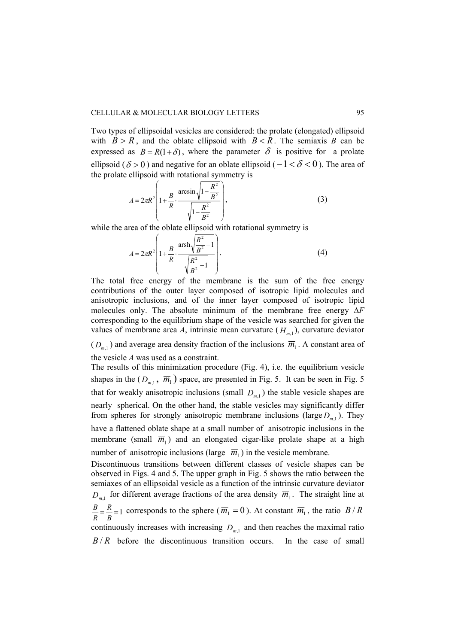Two types of ellipsoidal vesicles are considered: the prolate (elongated) ellipsoid with  $B > R$ , and the oblate ellipsoid with  $B < R$ . The semiaxis *B* can be expressed as  $B = R(1+\delta)$ , where the parameter  $\delta$  is positive for a prolate ellipsoid ( $\delta > 0$ ) and negative for an oblate ellipsoid ( $-1 < \delta < 0$ ). The area of the prolate ellipsoid with rotational symmetry is

$$
A = 2\pi R^2 \left( 1 + \frac{B}{R} \cdot \frac{\arcsin \sqrt{1 - \frac{R^2}{B^2}}}{\sqrt{1 - \frac{R^2}{B^2}}} \right),
$$
 (3)

while the area of the oblate ellipsoid with rotational symmetry is

$$
A = 2\pi R^2 \left( 1 + \frac{B}{R} \cdot \frac{\operatorname{arsh}\sqrt{\frac{R^2}{B^2} - 1}}{\sqrt{\frac{R^2}{B^2} - 1}} \right). \tag{4}
$$

The total free energy of the membrane is the sum of the free energy contributions of the outer layer composed of isotropic lipid molecules and anisotropic inclusions, and of the inner layer composed of isotropic lipid molecules only. The absolute minimum of the membrane free energy Δ*F* corresponding to the equilibrium shape of the vesicle was searched for given the values of membrane area *A*, intrinsic mean curvature  $(H_{m,1})$ , curvature deviator  $(D_{m_1})$  and average area density fraction of the inclusions  $\overline{m_1}$ . A constant area of

the vesicle *A* was used as a constraint.

The results of this minimization procedure (Fig. 4), i.e. the equilibrium vesicle shapes in the  $(D_{m_1}, \overline{m_1})$  space, are presented in Fig. 5. It can be seen in Fig. 5 that for weakly anisotropic inclusions (small  $D_{m-1}$ ) the stable vesicle shapes are nearly spherical. On the other hand, the stable vesicles may significantly differ from spheres for strongly anisotropic membrane inclusions (large  $D_{m,1}$ ). They have a flattened oblate shape at a small number of anisotropic inclusions in the membrane (small  $\overline{m_1}$ ) and an elongated cigar-like prolate shape at a high number of anisotropic inclusions (large  $\overline{m}_1$ ) in the vesicle membrane.

Discontinuous transitions between different classes of vesicle shapes can be observed in Figs. 4 and 5. The upper graph in Fig. 5 shows the ratio between the semiaxes of an ellipsoidal vesicle as a function of the intrinsic curvature deviator  $D_{m_1}$  for different average fractions of the area density  $\overline{m}_1$ . The straight line at  $=\frac{R}{B}=1$ *R*  $\frac{B}{R} = \frac{R}{B} = 1$  corresponds to the sphere ( $\overline{m}_1 = 0$ ). At constant  $\overline{m}_1$ , the ratio *B* / *R* continuously increases with increasing  $D_{m,1}$  and then reaches the maximal ratio  $B/R$  before the discontinuous transition occurs. In the case of small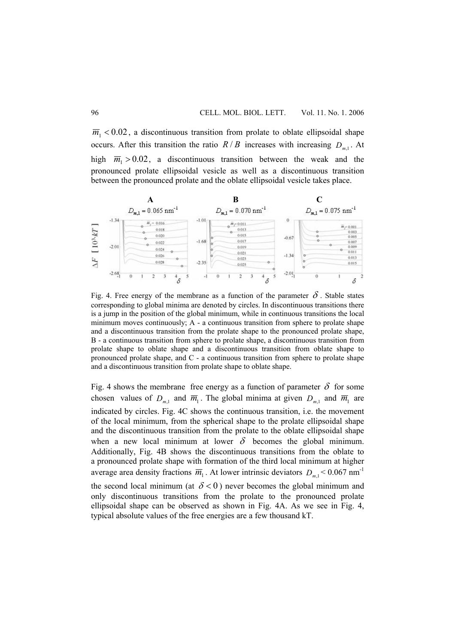$\overline{m}_1$  < 0.02, a discontinuous transition from prolate to oblate ellipsoidal shape occurs. After this transition the ratio  $R/B$  increases with increasing  $D_{m,1}$ . At high  $\overline{m}_1 > 0.02$ , a discontinuous transition between the weak and the pronounced prolate ellipsoidal vesicle as well as a discontinuous transition between the pronounced prolate and the oblate ellipsoidal vesicle takes place.



Fig. 4. Free energy of the membrane as a function of the parameter  $\delta$ . Stable states corresponding to global minima are denoted by circles. In discontinuous transitions there is a jump in the position of the global minimum, while in continuous transitions the local minimum moves continuously; A - a continuous transition from sphere to prolate shape and a discontinuous transition from the prolate shape to the pronounced prolate shape, B - a continuous transition from sphere to prolate shape, a discontinuous transition from prolate shape to oblate shape and a discontinuous transition from oblate shape to pronounced prolate shape, and C - a continuous transition from sphere to prolate shape and a discontinuous transition from prolate shape to oblate shape.

Fig. 4 shows the membrane free energy as a function of parameter  $\delta$  for some chosen values of  $D_{m,1}$  and  $\overline{m}_1$ . The global minima at given  $D_{m,1}$  and  $\overline{m}_1$  are indicated by circles. Fig. 4C shows the continuous transition, i.e. the movement of the local minimum, from the spherical shape to the prolate ellipsoidal shape and the discontinuous transition from the prolate to the oblate ellipsoidal shape when a new local minimum at lower  $\delta$  becomes the global minimum. Additionally, Fig. 4B shows the discontinuous transitions from the oblate to a pronounced prolate shape with formation of the third local minimum at higher average area density fractions  $\overline{m_1}$ . At lower intrinsic deviators  $D_{n-1}$  < 0.067 nm<sup>-1</sup>

the second local minimum (at  $\delta < 0$ ) never becomes the global minimum and only discontinuous transitions from the prolate to the pronounced prolate ellipsoidal shape can be observed as shown in Fig. 4A. As we see in Fig. 4, typical absolute values of the free energies are a few thousand kT.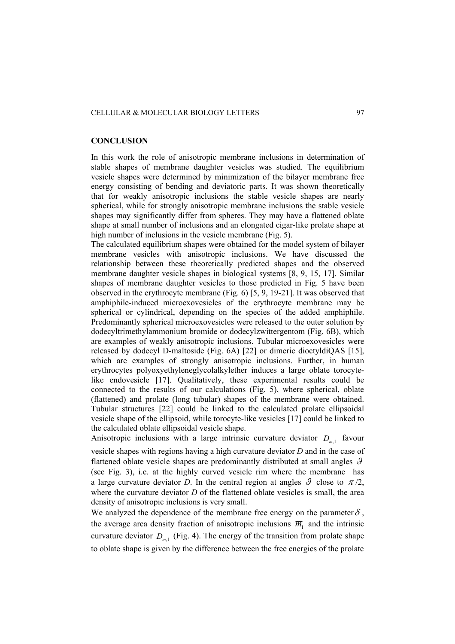### **CONCLUSION**

In this work the role of anisotropic membrane inclusions in determination of stable shapes of membrane daughter vesicles was studied. The equilibrium vesicle shapes were determined by minimization of the bilayer membrane free energy consisting of bending and deviatoric parts. It was shown theoretically that for weakly anisotropic inclusions the stable vesicle shapes are nearly spherical, while for strongly anisotropic membrane inclusions the stable vesicle shapes may significantly differ from spheres. They may have a flattened oblate shape at small number of inclusions and an elongated cigar-like prolate shape at high number of inclusions in the vesicle membrane (Fig. 5).

The calculated equilibrium shapes were obtained for the model system of bilayer membrane vesicles with anisotropic inclusions. We have discussed the relationship between these theoretically predicted shapes and the observed membrane daughter vesicle shapes in biological systems [8, 9, 15, 17]. Similar shapes of membrane daughter vesicles to those predicted in Fig. 5 have been observed in the erythrocyte membrane (Fig. 6) [5, 9, 19-21]. It was observed that amphiphile-induced microexovesicles of the erythrocyte membrane may be spherical or cylindrical, depending on the species of the added amphiphile. Predominantly spherical microexovesicles were released to the outer solution by dodecyltrimethylammonium bromide or dodecylzwittergentom (Fig. 6B), which are examples of weakly anisotropic inclusions. Tubular microexovesicles were released by dodecyl D-maltoside (Fig. 6A) [22] or dimeric dioctyldiQAS [15], which are examples of strongly anisotropic inclusions. Further, in human erythrocytes polyoxyethyleneglycolalkylether induces a large oblate torocytelike endovesicle [17]. Qualitatively, these experimental results could be connected to the results of our calculations (Fig. 5), where spherical, oblate (flattened) and prolate (long tubular) shapes of the membrane were obtained. Tubular structures [22] could be linked to the calculated prolate ellipsoidal vesicle shape of the ellipsoid, while torocyte-like vesicles [17] could be linked to the calculated oblate ellipsoidal vesicle shape.

Anisotropic inclusions with a large intrinsic curvature deviator  $D_{m-1}$  favour

vesicle shapes with regions having a high curvature deviator *D* and in the case of flattened oblate vesicle shapes are predominantly distributed at small angles  $\mathcal{G}$ (see Fig. 3), i.e. at the highly curved vesicle rim where the membrane has a large curvature deviator *D*. In the central region at angles  $\theta$  close to  $\pi/2$ , where the curvature deviator *D* of the flattened oblate vesicles is small, the area density of anisotropic inclusions is very small.

We analyzed the dependence of the membrane free energy on the parameter  $\delta$ , the average area density fraction of anisotropic inclusions  $\overline{m}_1$  and the intrinsic curvature deviator  $D_{m,1}$  (Fig. 4). The energy of the transition from prolate shape to oblate shape is given by the difference between the free energies of the prolate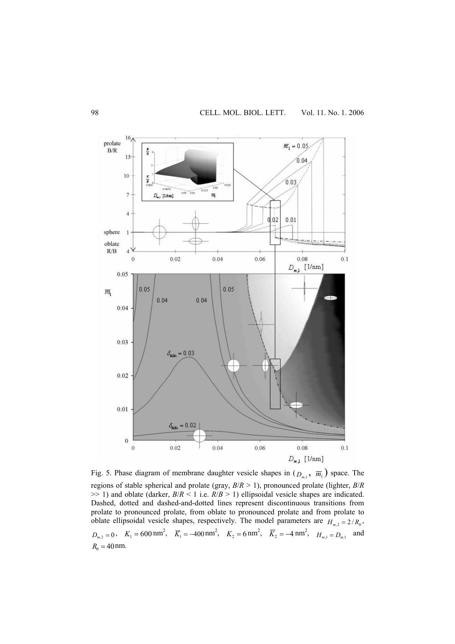

Fig. 5. Phase diagram of membrane daughter vesicle shapes in  $(D_{m,1}, \overline{m}_1)$  space. The regions of stable spherical and prolate (gray, *B*/*R* > 1), pronounced prolate (lighter, *B*/*R*  $\gg$  1) and oblate (darker,  $B/R \le 1$  i.e.  $R/B \ge 1$ ) ellipsoidal vesicle shapes are indicated. Dashed, dotted and dashed-and-dotted lines represent discontinuous transitions from prolate to pronounced prolate, from oblate to pronounced prolate and from prolate to oblate ellipsoidal vesicle shapes, respectively. The model parameters are  $H_{m,2} = 2/R_0$ ,  $D_{m,2} = 0$ ,  $K_1 = 600 \text{ nm}^2$ ,  $\overline{K}_1 = -400 \text{ nm}^2$ ,  $K_2 = 6 \text{ nm}^2$ ,  $\overline{K}_2 = -4 \text{ nm}^2$ ,  $H_{m,1} = D_{m,1}$  and  $R_0 = 40$  nm.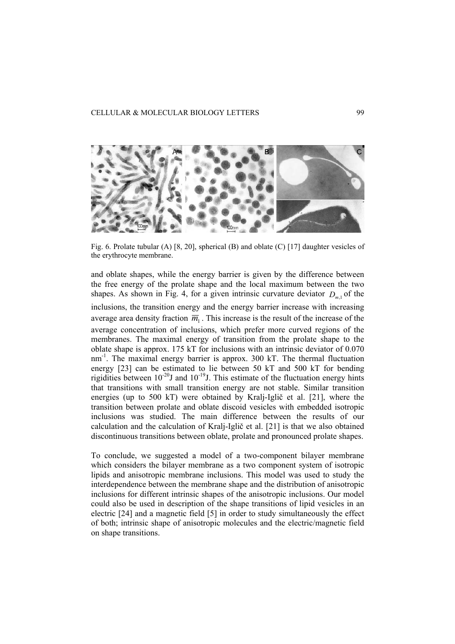

Fig. 6. Prolate tubular (A) [8, 20], spherical (B) and oblate (C) [17] daughter vesicles of the erythrocyte membrane.

and oblate shapes, while the energy barrier is given by the difference between the free energy of the prolate shape and the local maximum between the two shapes. As shown in Fig. 4, for a given intrinsic curvature deviator  $D_{m}$  of the inclusions, the transition energy and the energy barrier increase with increasing average area density fraction  $\overline{m_1}$ . This increase is the result of the increase of the average concentration of inclusions, which prefer more curved regions of the membranes. The maximal energy of transition from the prolate shape to the oblate shape is approx. 175 kT for inclusions with an intrinsic deviator of 0.070 nm<sup>-1</sup>. The maximal energy barrier is approx. 300 kT. The thermal fluctuation energy [23] can be estimated to lie between 50 kT and 500 kT for bending rigidities between  $10^{-20}$ J and  $10^{-19}$ J. This estimate of the fluctuation energy hints that transitions with small transition energy are not stable. Similar transition energies (up to 500 kT) were obtained by Kralj-Iglič et al. [21], where the transition between prolate and oblate discoid vesicles with embedded isotropic inclusions was studied. The main difference between the results of our calculation and the calculation of Kralj-Iglič et al. [21] is that we also obtained discontinuous transitions between oblate, prolate and pronounced prolate shapes.

To conclude, we suggested a model of a two-component bilayer membrane which considers the bilayer membrane as a two component system of isotropic lipids and anisotropic membrane inclusions. This model was used to study the interdependence between the membrane shape and the distribution of anisotropic inclusions for different intrinsic shapes of the anisotropic inclusions. Our model could also be used in description of the shape transitions of lipid vesicles in an electric [24] and a magnetic field [5] in order to study simultaneously the effect of both; intrinsic shape of anisotropic molecules and the electric/magnetic field on shape transitions.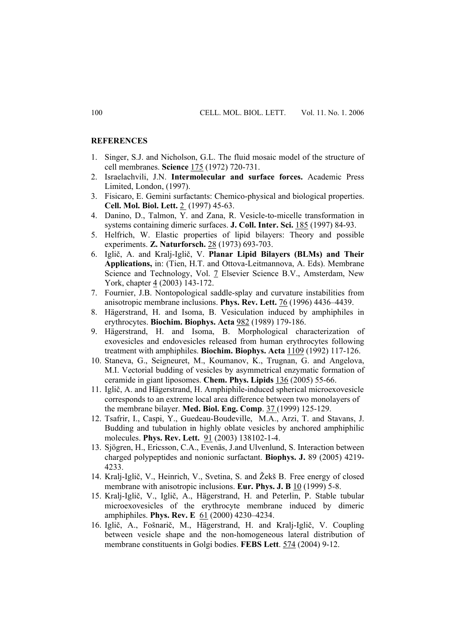### **REFERENCES**

- 1. Singer, S.J. and Nicholson, G.L. The fluid mosaic model of the structure of cell membranes. **Science** 175 (1972) 720-731.
- 2. Israelachvili, J.N. **Intermolecular and surface forces.** Academic Press Limited, London, (1997).
- 3. Fisicaro, E. Gemini surfactants: Chemico-physical and biological properties. **Cell. Mol. Biol. Lett.** 2 (1997) 45-63.
- 4. Danino, D., Talmon, Y. and Zana, R. Vesicle-to-micelle transformation in systems containing dimeric surfaces. **J. Coll. Inter. Sci.** 185 (1997) 84-93.
- 5. Helfrich, W. Elastic properties of lipid bilayers: Theory and possible experiments. **Z. Naturforsch.** 28 (1973) 693-703.
- 6. Iglič, A. and Kralj-Iglič, V. **Planar Lipid Bilayers (BLMs) and Their Applications,** in: (Tien, H.T. and Ottova-Leitmannova, A. Eds). Membrane Science and Technology, Vol. 7 Elsevier Science B.V., Amsterdam, New York, chapter 4 (2003) 143-172.
- 7. Fournier, J.B. Nontopological saddle-splay and curvature instabilities from anisotropic membrane inclusions. **Phys. Rev. Lett.** 76 (1996) 4436–4439.
- 8. Hägerstrand, H. and Isoma, B. Vesiculation induced by amphiphiles in erythrocytes. **Biochim. Biophys. Acta** 982 (1989) 179-186.
- 9. Hägerstrand, H. and Isoma, B. Morphological characterization of exovesicles and endovesicles released from human erythrocytes following treatment with amphiphiles. **Biochim. Biophys. Acta** 1109 (1992) 117-126.
- 10. Staneva, G., Seigneuret, M., Koumanov, K., Trugnan, G. and Angelova, M.I. Vectorial budding of vesicles by asymmetrical enzymatic formation of ceramide in giant liposomes. **Chem. Phys. Lipids** 136 (2005) 55-66.
- 11. Iglič, A. and Hägerstrand, H. Amphiphile-induced spherical microexovesicle corresponds to an extreme local area difference between two monolayers of the membrane bilayer. **Med. Biol. Eng. Comp**. 37 (1999) 125-129.
- 12. Tsafrir, I., Caspi, Y., Guedeau-Boudeville, M.A., Arzi, T. and Stavans, J. Budding and tubulation in highly oblate vesicles by anchored amphiphilic molecules. **Phys. Rev. Lett.** 91 (2003) 138102-1-4.
- 13. Sjögren, H., Ericsson, C.A., Evenäs, J.and Ulvenlund, S. Interaction between charged polypeptides and nonionic surfactant. **Biophys. J.** 89 (2005) 4219- 4233.
- 14. Kralj-Iglič, V., Heinrich, V., Svetina, S. and Žekš B. Free energy of closed membrane with anisotropic inclusions. **Eur. Phys. J. B** 10 (1999) 5-8.
- 15. Kralj-Iglič, V., Iglič, A., Hägerstrand, H. and Peterlin, P. Stable tubular microexovesicles of the erythrocyte membrane induced by dimeric amphiphiles. **Phys. Rev. E** 61 (2000) 4230–4234.
- 16. Iglič, A., Fošnarič, M., Hägerstrand, H. and Kralj-Iglič, V. Coupling between vesicle shape and the non-homogeneous lateral distribution of membrane constituents in Golgi bodies. **FEBS Lett**. 574 (2004) 9-12.